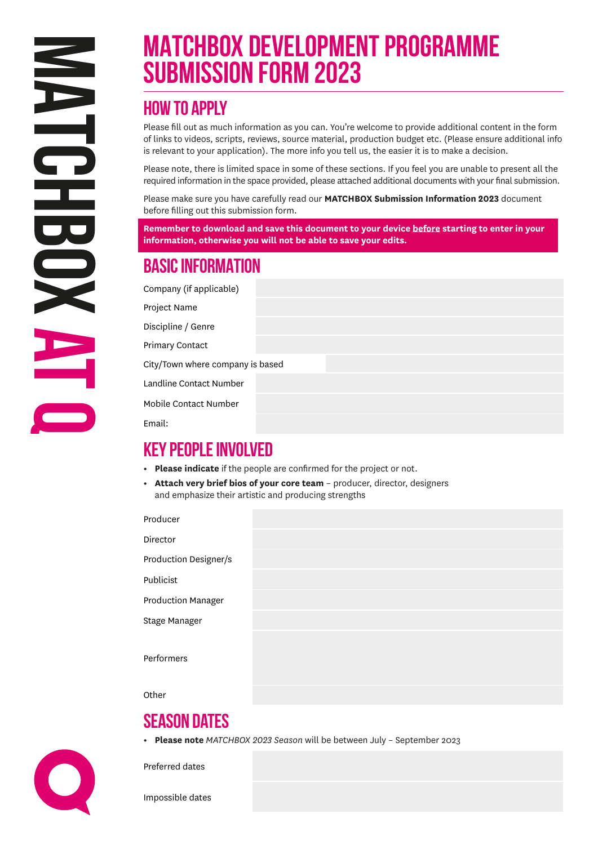# **MATCHBOX DEVELOPMENT PROGRAMME Submission Form 2023**

# **How to apply**

Please fill out as much information as you can. You're welcome to provide additional content in the form of links to videos, scripts, reviews, source material, production budget etc. (Please ensure additional info is relevant to your application). The more info you tell us, the easier it is to make a decision.

Please note, there is limited space in some of these sections. If you feel you are unable to present all the required information in the space provided, please attached additional documents with your final submission.

Please make sure you have carefully read our **MATCHBOX Submission Information 2023** document before filling out this submission form.

**Remember to download and save this document to your device before starting to enter in your information, otherwise you will not be able to save your edits.**

# **BASIC INFORMATION**

| Company (if applicable)          |  |  |
|----------------------------------|--|--|
| Project Name                     |  |  |
| Discipline / Genre               |  |  |
| <b>Primary Contact</b>           |  |  |
| City/Town where company is based |  |  |
| Landline Contact Number          |  |  |
| Mobile Contact Number            |  |  |
| Email:                           |  |  |

# **KEY PEOPLE INVOLVED**

- **• Please indicate** if the people are confirmed for the project or not.
- **• Attach very brief bios of your core team** producer, director, designers and emphasize their artistic and producing strengths

Producer

Director Production Designer/s

Publicist

Production Manager

Stage Manager

**Performers** 

**Other** 

# **Season dates**

**• Please note** *MATCHBOX 2023 Season* will be between July – September 2023

Preferred dates

Impossible dates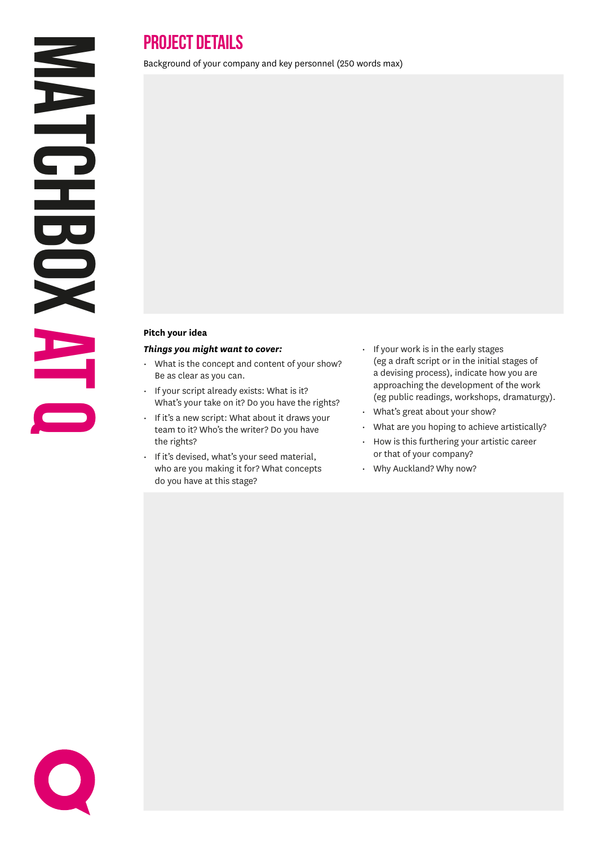$\bullet$ 

# **PROJECT DETAILS**

Background of your company and key personnel (250 words max)

#### **Pitch your idea**

#### *Things you might want to cover:*

- What is the concept and content of your show? Be as clear as you can.
- If your script already exists: What is it? What's your take on it? Do you have the rights?
- If it's a new script: What about it draws your team to it? Who's the writer? Do you have the rights?
- If it's devised, what's your seed material, who are you making it for? What concepts do you have at this stage?
- If your work is in the early stages (eg a draft script or in the initial stages of a devising process), indicate how you are approaching the development of the work (eg public readings, workshops, dramaturgy).
- What's great about your show?
- What are you hoping to achieve artistically?
- How is this furthering your artistic career or that of your company?
- Why Auckland? Why now?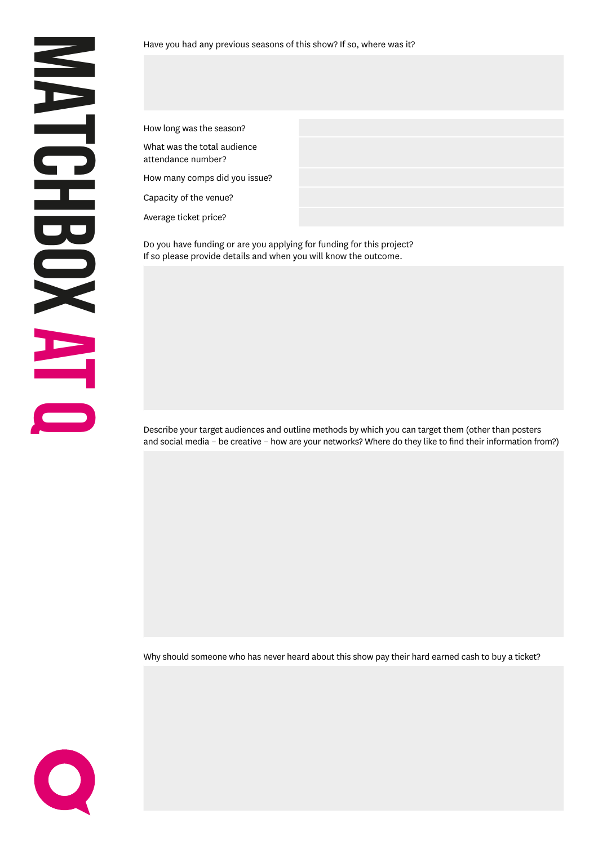How long was the season?

What was the total audience attendance number?

How many comps did you issue?

Capacity of the venue?

Average ticket price?

Do you have funding or are you applying for funding for this project? If so please provide details and when you will know the outcome.

Describe your target audiences and outline methods by which you can target them (other than posters and social media – be creative – how are your networks? Where do they like to find their information from?)

Why should someone who has never heard about this show pay their hard earned cash to buy a ticket?

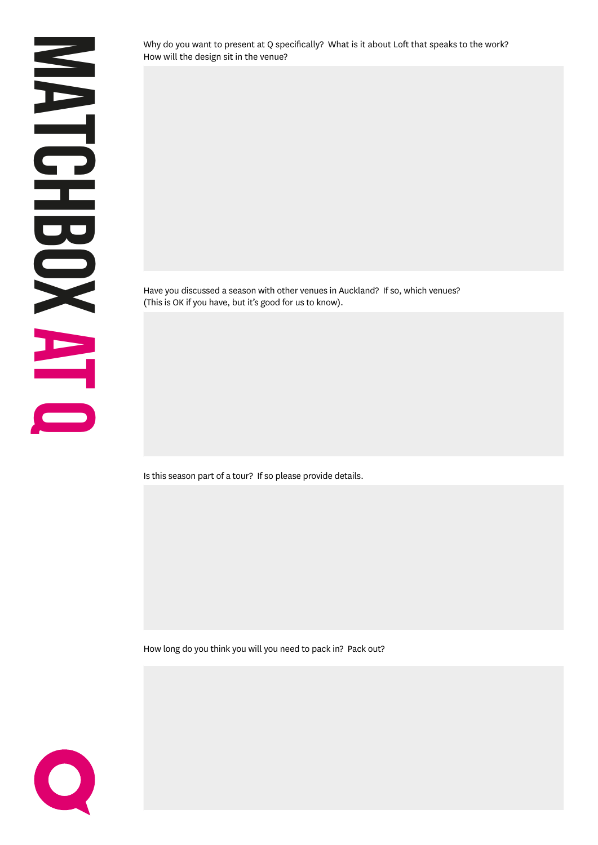Why do you want to present at Q specifically? What is it about Loft that speaks to the work? How will the design sit in the venue?

Have you discussed a season with other venues in Auckland? If so, which venues? (This is OK if you have, but it's good for us to know).

Is this season part of a tour? If so please provide details.

How long do you think you will you need to pack in? Pack out?

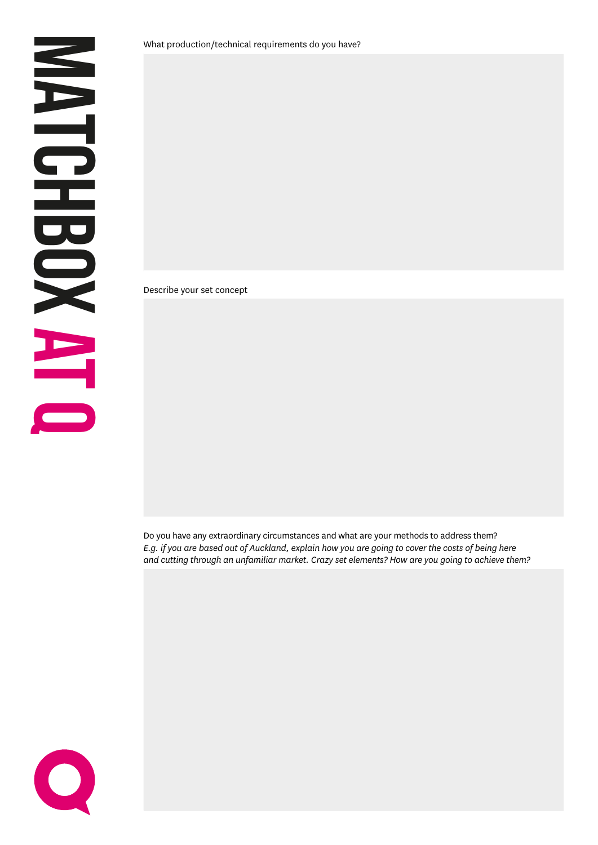Describe your set concept

Do you have any extraordinary circumstances and what are your methods to address them? *E.g. if you are based out of Auckland, explain how you are going to cover the costs of being here and cutting through an unfamiliar market. Crazy set elements? How are you going to achieve them?* 

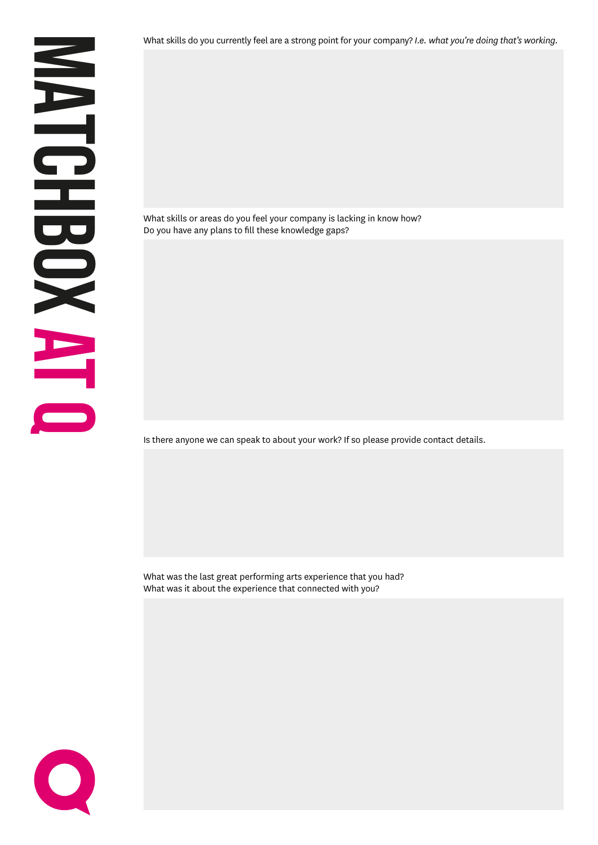What skills do you currently feel are a strong point for your company? *I.e. what you're doing that's working.*

What skills or areas do you feel your company is lacking in know how? Do you have any plans to fill these knowledge gaps?

Is there anyone we can speak to about your work? If so please provide contact details.

What was the last great performing arts experience that you had? What was it about the experience that connected with you?